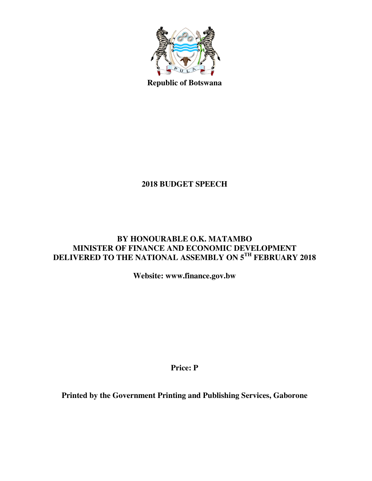

**Republic of Botswana** 

# **2018 BUDGET SPEECH**

## **BY HONOURABLE O.K. MATAMBO MINISTER OF FINANCE AND ECONOMIC DEVELOPMENT DELIVERED TO THE NATIONAL ASSEMBLY ON 5TH FEBRUARY 2018**

**Website: www.finance.gov.bw** 

**Price: P** 

**Printed by the Government Printing and Publishing Services, Gaborone**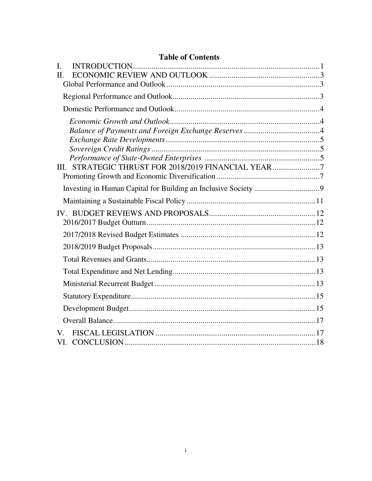## **Table of Contents**

| $\mathbf{I}$ . |                                                      |  |
|----------------|------------------------------------------------------|--|
| II.            |                                                      |  |
|                |                                                      |  |
|                |                                                      |  |
|                |                                                      |  |
|                |                                                      |  |
|                |                                                      |  |
|                |                                                      |  |
|                |                                                      |  |
|                |                                                      |  |
|                | III. STRATEGIC THRUST FOR 2018/2019 FINANCIAL YEAR 7 |  |
|                |                                                      |  |
|                |                                                      |  |
|                |                                                      |  |
|                |                                                      |  |
|                |                                                      |  |
|                |                                                      |  |
|                |                                                      |  |
|                |                                                      |  |
|                |                                                      |  |
|                |                                                      |  |
|                |                                                      |  |
|                |                                                      |  |
|                |                                                      |  |
| V.             |                                                      |  |
|                |                                                      |  |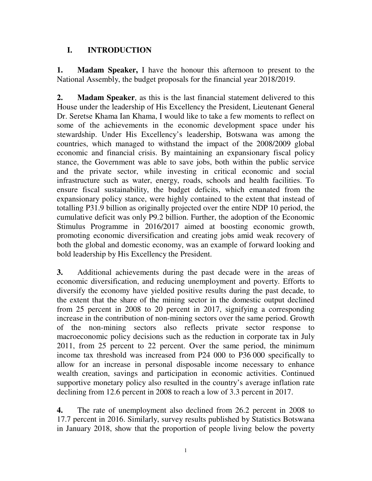## **I. INTRODUCTION**

**1. Madam Speaker,** I have the honour this afternoon to present to the National Assembly, the budget proposals for the financial year 2018/2019.

**2. Madam Speaker**, as this is the last financial statement delivered to this House under the leadership of His Excellency the President, Lieutenant General Dr. Seretse Khama Ian Khama, I would like to take a few moments to reflect on some of the achievements in the economic development space under his stewardship. Under His Excellency's leadership, Botswana was among the countries, which managed to withstand the impact of the 2008/2009 global economic and financial crisis. By maintaining an expansionary fiscal policy stance, the Government was able to save jobs, both within the public service and the private sector, while investing in critical economic and social infrastructure such as water, energy, roads, schools and health facilities. To ensure fiscal sustainability, the budget deficits, which emanated from the expansionary policy stance, were highly contained to the extent that instead of totalling P31.9 billion as originally projected over the entire NDP 10 period, the cumulative deficit was only P9.2 billion. Further, the adoption of the Economic Stimulus Programme in 2016/2017 aimed at boosting economic growth, promoting economic diversification and creating jobs amid weak recovery of both the global and domestic economy, was an example of forward looking and bold leadership by His Excellency the President.

**3.** Additional achievements during the past decade were in the areas of economic diversification, and reducing unemployment and poverty. Efforts to diversify the economy have yielded positive results during the past decade, to the extent that the share of the mining sector in the domestic output declined from 25 percent in 2008 to 20 percent in 2017, signifying a corresponding increase in the contribution of non-mining sectors over the same period. Growth of the non-mining sectors also reflects private sector response to macroeconomic policy decisions such as the reduction in corporate tax in July 2011, from 25 percent to 22 percent. Over the same period, the minimum income tax threshold was increased from P24 000 to P36 000 specifically to allow for an increase in personal disposable income necessary to enhance wealth creation, savings and participation in economic activities. Continued supportive monetary policy also resulted in the country's average inflation rate declining from 12.6 percent in 2008 to reach a low of 3.3 percent in 2017.

**4.** The rate of unemployment also declined from 26.2 percent in 2008 to 17.7 percent in 2016. Similarly, survey results published by Statistics Botswana in January 2018, show that the proportion of people living below the poverty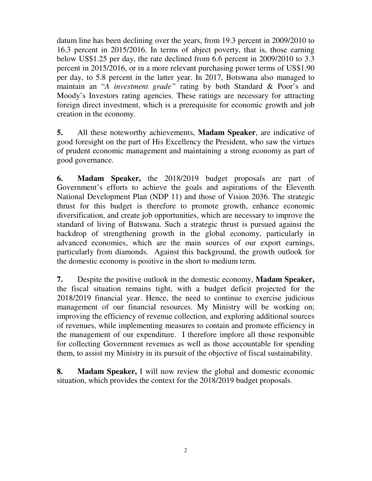datum line has been declining over the years, from 19.3 percent in 2009/2010 to 16.3 percent in 2015/2016. In terms of abject poverty, that is, those earning below US\$1.25 per day, the rate declined from 6.6 percent in 2009/2010 to 3.3 percent in 2015/2016, or in a more relevant purchasing power terms of US\$1.90 per day, to 5.8 percent in the latter year. In 2017, Botswana also managed to maintain an "*A investment grade"* rating by both Standard & Poor's and Moody's Investors rating agencies. These ratings are necessary for attracting foreign direct investment, which is a prerequisite for economic growth and job creation in the economy.

**5.** All these noteworthy achievements, **Madam Speaker**, are indicative of good foresight on the part of His Excellency the President, who saw the virtues of prudent economic management and maintaining a strong economy as part of good governance.

**6. Madam Speaker,** the 2018/2019 budget proposals are part of Government's efforts to achieve the goals and aspirations of the Eleventh National Development Plan (NDP 11) and those of Vision 2036. The strategic thrust for this budget is therefore to promote growth, enhance economic diversification, and create job opportunities, which are necessary to improve the standard of living of Batswana. Such a strategic thrust is pursued against the backdrop of strengthening growth in the global economy, particularly in advanced economies, which are the main sources of our export earnings, particularly from diamonds. Against this background, the growth outlook for the domestic economy is positive in the short to medium term.

**7.** Despite the positive outlook in the domestic economy, **Madam Speaker,** the fiscal situation remains tight, with a budget deficit projected for the 2018/2019 financial year. Hence, the need to continue to exercise judicious management of our financial resources. My Ministry will be working on; improving the efficiency of revenue collection, and exploring additional sources of revenues, while implementing measures to contain and promote efficiency in the management of our expenditure. I therefore implore all those responsible for collecting Government revenues as well as those accountable for spending them, to assist my Ministry in its pursuit of the objective of fiscal sustainability.

**8. Madam Speaker,** I will now review the global and domestic economic situation, which provides the context for the 2018/2019 budget proposals.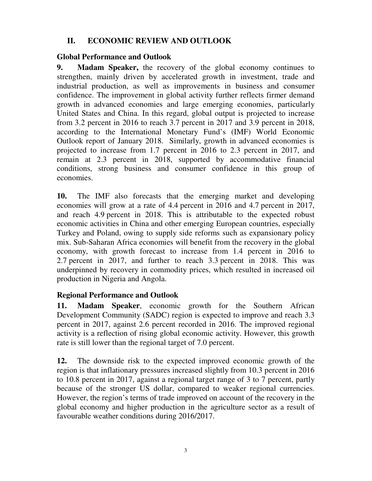## **II. ECONOMIC REVIEW AND OUTLOOK**

## **Global Performance and Outlook**

**9. Madam Speaker,** the recovery of the global economy continues to strengthen, mainly driven by accelerated growth in investment, trade and industrial production, as well as improvements in business and consumer confidence. The improvement in global activity further reflects firmer demand growth in advanced economies and large emerging economies, particularly United States and China. In this regard, global output is projected to increase from 3.2 percent in 2016 to reach 3.7 percent in 2017 and 3.9 percent in 2018, according to the International Monetary Fund's (IMF) World Economic Outlook report of January 2018. Similarly, growth in advanced economies is projected to increase from 1.7 percent in 2016 to 2.3 percent in 2017, and remain at 2.3 percent in 2018, supported by accommodative financial conditions, strong business and consumer confidence in this group of economies.

**10.** The IMF also forecasts that the emerging market and developing economies will grow at a rate of 4.4 percent in 2016 and 4.7 percent in 2017, and reach 4.9 percent in 2018. This is attributable to the expected robust economic activities in China and other emerging European countries, especially Turkey and Poland, owing to supply side reforms such as expansionary policy mix. Sub-Saharan Africa economies will benefit from the recovery in the global economy, with growth forecast to increase from 1.4 percent in 2016 to 2.7 percent in 2017, and further to reach 3.3 percent in 2018. This was underpinned by recovery in commodity prices, which resulted in increased oil production in Nigeria and Angola.

## **Regional Performance and Outlook**

**11. Madam Speaker**, economic growth for the Southern African Development Community (SADC) region is expected to improve and reach 3.3 percent in 2017, against 2.6 percent recorded in 2016. The improved regional activity is a reflection of rising global economic activity. However, this growth rate is still lower than the regional target of 7.0 percent.

**12.** The downside risk to the expected improved economic growth of the region is that inflationary pressures increased slightly from 10.3 percent in 2016 to 10.8 percent in 2017, against a regional target range of 3 to 7 percent, partly because of the stronger US dollar, compared to weaker regional currencies. However, the region's terms of trade improved on account of the recovery in the global economy and higher production in the agriculture sector as a result of favourable weather conditions during 2016/2017.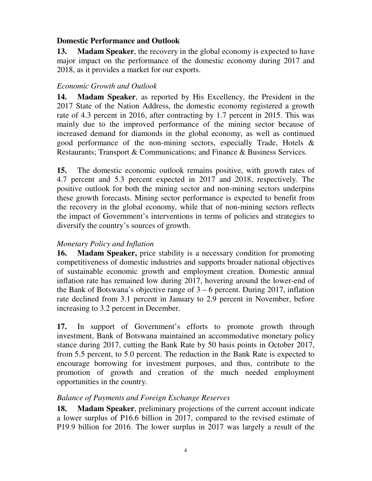#### **Domestic Performance and Outlook**

**13. Madam Speaker**, the recovery in the global economy is expected to have major impact on the performance of the domestic economy during 2017 and 2018, as it provides a market for our exports.

## *Economic Growth and Outlook*

**14. Madam Speaker**, as reported by His Excellency, the President in the 2017 State of the Nation Address, the domestic economy registered a growth rate of 4.3 percent in 2016, after contracting by 1.7 percent in 2015. This was mainly due to the improved performance of the mining sector because of increased demand for diamonds in the global economy, as well as continued good performance of the non-mining sectors, especially Trade, Hotels & Restaurants; Transport & Communications; and Finance & Business Services.

**15.** The domestic economic outlook remains positive, with growth rates of 4.7 percent and 5.3 percent expected in 2017 and 2018, respectively. The positive outlook for both the mining sector and non-mining sectors underpins these growth forecasts. Mining sector performance is expected to benefit from the recovery in the global economy, while that of non-mining sectors reflects the impact of Government's interventions in terms of policies and strategies to diversify the country's sources of growth.

## *Monetary Policy and Inflation*

**16. Madam Speaker,** price stability is a necessary condition for promoting competitiveness of domestic industries and supports broader national objectives of sustainable economic growth and employment creation. Domestic annual inflation rate has remained low during 2017, hovering around the lower-end of the Bank of Botswana's objective range of  $3 - 6$  percent. During 2017, inflation rate declined from 3.1 percent in January to 2.9 percent in November, before increasing to 3.2 percent in December.

**17.** In support of Government's efforts to promote growth through investment, Bank of Botswana maintained an accommodative monetary policy stance during 2017, cutting the Bank Rate by 50 basis points in October 2017, from 5.5 percent, to 5.0 percent. The reduction in the Bank Rate is expected to encourage borrowing for investment purposes, and thus, contribute to the promotion of growth and creation of the much needed employment opportunities in the country.

## *Balance of Payments and Foreign Exchange Reserves*

**18. Madam Speaker**, preliminary projections of the current account indicate a lower surplus of P16.6 billion in 2017, compared to the revised estimate of P19.9 billion for 2016. The lower surplus in 2017 was largely a result of the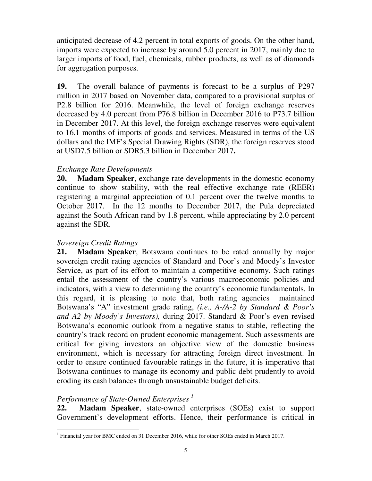anticipated decrease of 4.2 percent in total exports of goods. On the other hand, imports were expected to increase by around 5.0 percent in 2017, mainly due to larger imports of food, fuel, chemicals, rubber products, as well as of diamonds for aggregation purposes.

**19.** The overall balance of payments is forecast to be a surplus of P297 million in 2017 based on November data, compared to a provisional surplus of P2.8 billion for 2016. Meanwhile, the level of foreign exchange reserves decreased by 4.0 percent from P76.8 billion in December 2016 to P73.7 billion in December 2017. At this level, the foreign exchange reserves were equivalent to 16.1 months of imports of goods and services. Measured in terms of the US dollars and the IMF's Special Drawing Rights (SDR), the foreign reserves stood at USD7.5 billion or SDR5.3 billion in December 2017**.**

#### *Exchange Rate Developments*

**20. Madam Speaker**, exchange rate developments in the domestic economy continue to show stability, with the real effective exchange rate (REER) registering a marginal appreciation of 0.1 percent over the twelve months to October 2017. In the 12 months to December 2017, the Pula depreciated against the South African rand by 1.8 percent, while appreciating by 2.0 percent against the SDR.

## *Sovereign Credit Ratings*

**21. Madam Speaker**, Botswana continues to be rated annually by major sovereign credit rating agencies of Standard and Poor's and Moody's Investor Service, as part of its effort to maintain a competitive economy. Such ratings entail the assessment of the country's various macroeconomic policies and indicators, with a view to determining the country's economic fundamentals. In this regard, it is pleasing to note that, both rating agencies maintained Botswana's "A" investment grade rating, *(i.e., A-/A-2 by Standard & Poor's and A2 by Moody's Investors),* during 2017. Standard & Poor's even revised Botswana's economic outlook from a negative status to stable, reflecting the country's track record on prudent economic management. Such assessments are critical for giving investors an objective view of the domestic business environment, which is necessary for attracting foreign direct investment. In order to ensure continued favourable ratings in the future, it is imperative that Botswana continues to manage its economy and public debt prudently to avoid eroding its cash balances through unsustainable budget deficits.

## *Performance of State-Owned Enterprises <sup>1</sup>*

**22. Madam Speaker**, state-owned enterprises (SOEs) exist to support Government's development efforts. Hence, their performance is critical in

 1 Financial year for BMC ended on 31 December 2016, while for other SOEs ended in March 2017.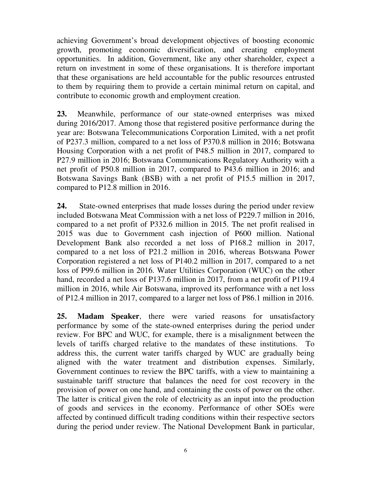achieving Government's broad development objectives of boosting economic growth, promoting economic diversification, and creating employment opportunities. In addition, Government, like any other shareholder, expect a return on investment in some of these organisations. It is therefore important that these organisations are held accountable for the public resources entrusted to them by requiring them to provide a certain minimal return on capital, and contribute to economic growth and employment creation.

**23.** Meanwhile, performance of our state-owned enterprises was mixed during 2016/2017. Among those that registered positive performance during the year are: Botswana Telecommunications Corporation Limited, with a net profit of P237.3 million, compared to a net loss of P370.8 million in 2016; Botswana Housing Corporation with a net profit of P48.5 million in 2017, compared to P27.9 million in 2016; Botswana Communications Regulatory Authority with a net profit of P50.8 million in 2017, compared to P43.6 million in 2016; and Botswana Savings Bank (BSB) with a net profit of P15.5 million in 2017, compared to P12.8 million in 2016.

**24.** State-owned enterprises that made losses during the period under review included Botswana Meat Commission with a net loss of P229.7 million in 2016, compared to a net profit of P332.6 million in 2015. The net profit realised in 2015 was due to Government cash injection of P600 million. National Development Bank also recorded a net loss of P168.2 million in 2017, compared to a net loss of P21.2 million in 2016, whereas Botswana Power Corporation registered a net loss of P140.2 million in 2017, compared to a net loss of P99.6 million in 2016. Water Utilities Corporation (WUC) on the other hand, recorded a net loss of P137.6 million in 2017, from a net profit of P119.4 million in 2016, while Air Botswana, improved its performance with a net loss of P12.4 million in 2017, compared to a larger net loss of P86.1 million in 2016.

**25. Madam Speaker**, there were varied reasons for unsatisfactory performance by some of the state-owned enterprises during the period under review. For BPC and WUC, for example, there is a misalignment between the levels of tariffs charged relative to the mandates of these institutions. To address this, the current water tariffs charged by WUC are gradually being aligned with the water treatment and distribution expenses. Similarly, Government continues to review the BPC tariffs, with a view to maintaining a sustainable tariff structure that balances the need for cost recovery in the provision of power on one hand, and containing the costs of power on the other. The latter is critical given the role of electricity as an input into the production of goods and services in the economy. Performance of other SOEs were affected by continued difficult trading conditions within their respective sectors during the period under review. The National Development Bank in particular,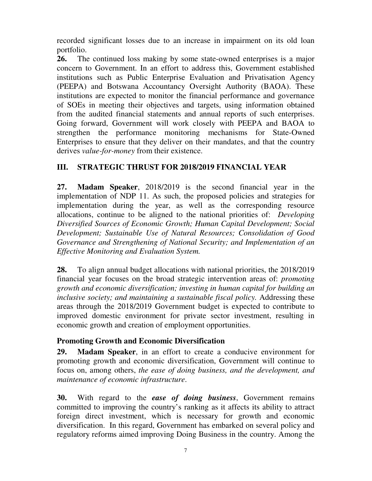recorded significant losses due to an increase in impairment on its old loan portfolio.

**26.** The continued loss making by some state-owned enterprises is a major concern to Government. In an effort to address this, Government established institutions such as Public Enterprise Evaluation and Privatisation Agency (PEEPA) and Botswana Accountancy Oversight Authority (BAOA). These institutions are expected to monitor the financial performance and governance of SOEs in meeting their objectives and targets, using information obtained from the audited financial statements and annual reports of such enterprises. Going forward, Government will work closely with PEEPA and BAOA to strengthen the performance monitoring mechanisms for State-Owned Enterprises to ensure that they deliver on their mandates, and that the country derives *value-for-money* from their existence.

# **III. STRATEGIC THRUST FOR 2018/2019 FINANCIAL YEAR**

**27. Madam Speaker**, 2018/2019 is the second financial year in the implementation of NDP 11. As such, the proposed policies and strategies for implementation during the year, as well as the corresponding resource allocations, continue to be aligned to the national priorities of: *Developing Diversified Sources of Economic Growth; Human Capital Development; Social Development; Sustainable Use of Natural Resources; Consolidation of Good Governance and Strengthening of National Security; and Implementation of an Effective Monitoring and Evaluation System.*

**28.** To align annual budget allocations with national priorities, the 2018/2019 financial year focuses on the broad strategic intervention areas of: *promoting growth and economic diversification; investing in human capital for building an inclusive society; and maintaining a sustainable fiscal policy.* Addressing these areas through the 2018/2019 Government budget is expected to contribute to improved domestic environment for private sector investment, resulting in economic growth and creation of employment opportunities.

# **Promoting Growth and Economic Diversification**

**29. Madam Speaker**, in an effort to create a conducive environment for promoting growth and economic diversification, Government will continue to focus on, among others, *the ease of doing business, and the development, and maintenance of economic infrastructure*.

**30.** With regard to the *ease of doing business*, Government remains committed to improving the country's ranking as it affects its ability to attract foreign direct investment, which is necessary for growth and economic diversification. In this regard, Government has embarked on several policy and regulatory reforms aimed improving Doing Business in the country. Among the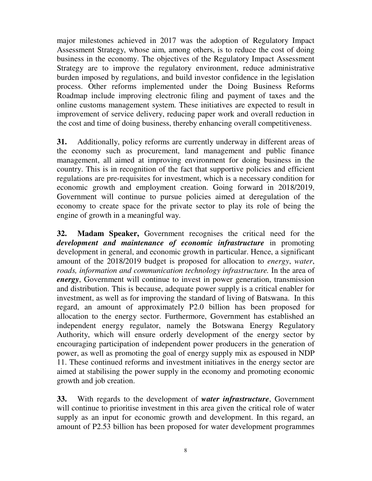major milestones achieved in 2017 was the adoption of Regulatory Impact Assessment Strategy, whose aim, among others, is to reduce the cost of doing business in the economy. The objectives of the Regulatory Impact Assessment Strategy are to improve the regulatory environment, reduce administrative burden imposed by regulations, and build investor confidence in the legislation process. Other reforms implemented under the Doing Business Reforms Roadmap include improving electronic filing and payment of taxes and the online customs management system. These initiatives are expected to result in improvement of service delivery, reducing paper work and overall reduction in the cost and time of doing business, thereby enhancing overall competitiveness.

**31.** Additionally, policy reforms are currently underway in different areas of the economy such as procurement, land management and public finance management, all aimed at improving environment for doing business in the country. This is in recognition of the fact that supportive policies and efficient regulations are pre-requisites for investment, which is a necessary condition for economic growth and employment creation. Going forward in 2018/2019, Government will continue to pursue policies aimed at deregulation of the economy to create space for the private sector to play its role of being the engine of growth in a meaningful way.

**32. Madam Speaker,** Government recognises the critical need for the *development and maintenance of economic infrastructure* in promoting development in general, and economic growth in particular. Hence, a significant amount of the 2018/2019 budget is proposed for allocation to *energy*, *water*, *roads, information and communication technology infrastructure.* In the area of *energy*, Government will continue to invest in power generation, transmission and distribution. This is because, adequate power supply is a critical enabler for investment, as well as for improving the standard of living of Batswana. In this regard, an amount of approximately P2.0 billion has been proposed for allocation to the energy sector. Furthermore, Government has established an independent energy regulator, namely the Botswana Energy Regulatory Authority, which will ensure orderly development of the energy sector by encouraging participation of independent power producers in the generation of power, as well as promoting the goal of energy supply mix as espoused in NDP 11. These continued reforms and investment initiatives in the energy sector are aimed at stabilising the power supply in the economy and promoting economic growth and job creation.

**33.** With regards to the development of *water infrastructure*, Government will continue to prioritise investment in this area given the critical role of water supply as an input for economic growth and development. In this regard, an amount of P2.53 billion has been proposed for water development programmes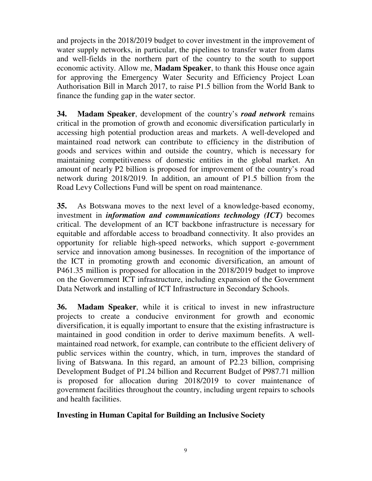and projects in the 2018/2019 budget to cover investment in the improvement of water supply networks, in particular, the pipelines to transfer water from dams and well-fields in the northern part of the country to the south to support economic activity. Allow me, **Madam Speaker**, to thank this House once again for approving the Emergency Water Security and Efficiency Project Loan Authorisation Bill in March 2017, to raise P1.5 billion from the World Bank to finance the funding gap in the water sector.

**34. Madam Speaker**, development of the country's *road network* remains critical in the promotion of growth and economic diversification particularly in accessing high potential production areas and markets. A well-developed and maintained road network can contribute to efficiency in the distribution of goods and services within and outside the country, which is necessary for maintaining competitiveness of domestic entities in the global market. An amount of nearly P2 billion is proposed for improvement of the country's road network during 2018/2019. In addition, an amount of P1.5 billion from the Road Levy Collections Fund will be spent on road maintenance.

**35.** As Botswana moves to the next level of a knowledge-based economy, investment in *information and communications technology (ICT)* becomes critical. The development of an ICT backbone infrastructure is necessary for equitable and affordable access to broadband connectivity. It also provides an opportunity for reliable high-speed networks, which support e-government service and innovation among businesses. In recognition of the importance of the ICT in promoting growth and economic diversification, an amount of P461.35 million is proposed for allocation in the 2018/2019 budget to improve on the Government ICT infrastructure, including expansion of the Government Data Network and installing of ICT Infrastructure in Secondary Schools.

**36. Madam Speaker**, while it is critical to invest in new infrastructure projects to create a conducive environment for growth and economic diversification, it is equally important to ensure that the existing infrastructure is maintained in good condition in order to derive maximum benefits. A wellmaintained road network, for example, can contribute to the efficient delivery of public services within the country, which, in turn, improves the standard of living of Batswana. In this regard, an amount of P2.23 billion, comprising Development Budget of P1.24 billion and Recurrent Budget of P987.71 million is proposed for allocation during 2018/2019 to cover maintenance of government facilities throughout the country, including urgent repairs to schools and health facilities.

#### **Investing in Human Capital for Building an Inclusive Society**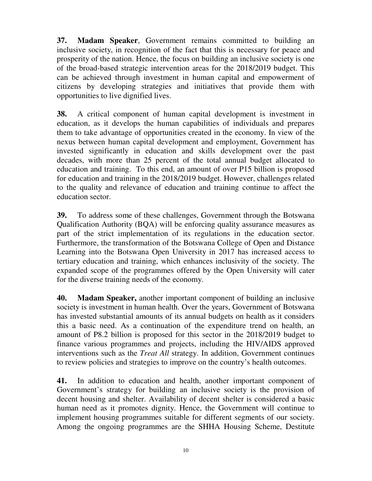**37. Madam Speaker**, Government remains committed to building an inclusive society, in recognition of the fact that this is necessary for peace and prosperity of the nation. Hence, the focus on building an inclusive society is one of the broad-based strategic intervention areas for the 2018/2019 budget. This can be achieved through investment in human capital and empowerment of citizens by developing strategies and initiatives that provide them with opportunities to live dignified lives.

**38.** A critical component of human capital development is investment in education, as it develops the human capabilities of individuals and prepares them to take advantage of opportunities created in the economy. In view of the nexus between human capital development and employment, Government has invested significantly in education and skills development over the past decades, with more than 25 percent of the total annual budget allocated to education and training. To this end, an amount of over P15 billion is proposed for education and training in the 2018/2019 budget. However, challenges related to the quality and relevance of education and training continue to affect the education sector.

**39.** To address some of these challenges, Government through the Botswana Qualification Authority (BQA) will be enforcing quality assurance measures as part of the strict implementation of its regulations in the education sector. Furthermore, the transformation of the Botswana College of Open and Distance Learning into the Botswana Open University in 2017 has increased access to tertiary education and training, which enhances inclusivity of the society. The expanded scope of the programmes offered by the Open University will cater for the diverse training needs of the economy.

**40. Madam Speaker,** another important component of building an inclusive society is investment in human health. Over the years, Government of Botswana has invested substantial amounts of its annual budgets on health as it considers this a basic need. As a continuation of the expenditure trend on health, an amount of P8.2 billion is proposed for this sector in the 2018/2019 budget to finance various programmes and projects, including the HIV/AIDS approved interventions such as the *Treat All* strategy. In addition, Government continues to review policies and strategies to improve on the country's health outcomes.

**41.** In addition to education and health, another important component of Government's strategy for building an inclusive society is the provision of decent housing and shelter. Availability of decent shelter is considered a basic human need as it promotes dignity. Hence, the Government will continue to implement housing programmes suitable for different segments of our society. Among the ongoing programmes are the SHHA Housing Scheme, Destitute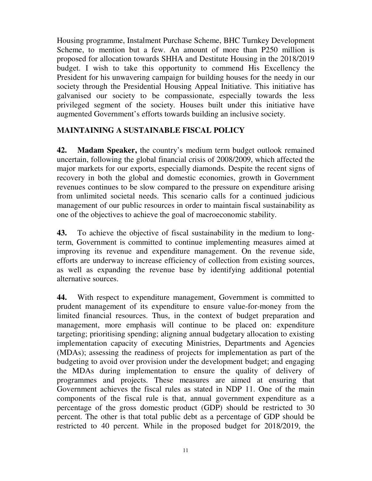Housing programme, Instalment Purchase Scheme, BHC Turnkey Development Scheme, to mention but a few. An amount of more than P250 million is proposed for allocation towards SHHA and Destitute Housing in the 2018/2019 budget. I wish to take this opportunity to commend His Excellency the President for his unwavering campaign for building houses for the needy in our society through the Presidential Housing Appeal Initiative. This initiative has galvanised our society to be compassionate, especially towards the less privileged segment of the society. Houses built under this initiative have augmented Government's efforts towards building an inclusive society.

#### **MAINTAINING A SUSTAINABLE FISCAL POLICY**

**42. Madam Speaker,** the country's medium term budget outlook remained uncertain, following the global financial crisis of 2008/2009, which affected the major markets for our exports, especially diamonds. Despite the recent signs of recovery in both the global and domestic economies, growth in Government revenues continues to be slow compared to the pressure on expenditure arising from unlimited societal needs. This scenario calls for a continued judicious management of our public resources in order to maintain fiscal sustainability as one of the objectives to achieve the goal of macroeconomic stability.

**43.** To achieve the objective of fiscal sustainability in the medium to longterm, Government is committed to continue implementing measures aimed at improving its revenue and expenditure management. On the revenue side, efforts are underway to increase efficiency of collection from existing sources, as well as expanding the revenue base by identifying additional potential alternative sources.

**44.** With respect to expenditure management, Government is committed to prudent management of its expenditure to ensure value-for-money from the limited financial resources. Thus, in the context of budget preparation and management, more emphasis will continue to be placed on: expenditure targeting; prioritising spending; aligning annual budgetary allocation to existing implementation capacity of executing Ministries, Departments and Agencies (MDAs); assessing the readiness of projects for implementation as part of the budgeting to avoid over provision under the development budget; and engaging the MDAs during implementation to ensure the quality of delivery of programmes and projects. These measures are aimed at ensuring that Government achieves the fiscal rules as stated in NDP 11. One of the main components of the fiscal rule is that, annual government expenditure as a percentage of the gross domestic product (GDP) should be restricted to 30 percent. The other is that total public debt as a percentage of GDP should be restricted to 40 percent. While in the proposed budget for 2018/2019, the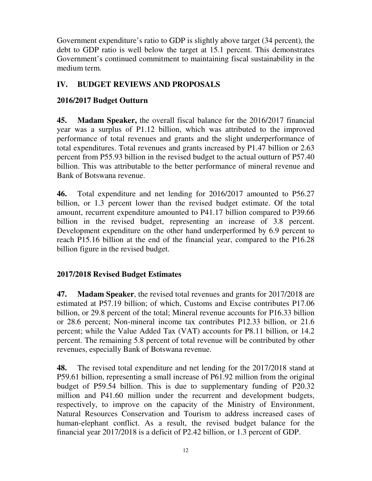Government expenditure's ratio to GDP is slightly above target (34 percent), the debt to GDP ratio is well below the target at 15.1 percent. This demonstrates Government's continued commitment to maintaining fiscal sustainability in the medium term.

# **IV. BUDGET REVIEWS AND PROPOSALS**

# **2016/2017 Budget Outturn**

**45. Madam Speaker,** the overall fiscal balance for the 2016/2017 financial year was a surplus of P1.12 billion, which was attributed to the improved performance of total revenues and grants and the slight underperformance of total expenditures. Total revenues and grants increased by P1.47 billion or 2.63 percent from P55.93 billion in the revised budget to the actual outturn of P57.40 billion. This was attributable to the better performance of mineral revenue and Bank of Botswana revenue.

**46.** Total expenditure and net lending for 2016/2017 amounted to P56.27 billion, or 1.3 percent lower than the revised budget estimate. Of the total amount, recurrent expenditure amounted to P41.17 billion compared to P39.66 billion in the revised budget, representing an increase of 3.8 percent. Development expenditure on the other hand underperformed by 6.9 percent to reach P15.16 billion at the end of the financial year, compared to the P16.28 billion figure in the revised budget.

# **2017/2018 Revised Budget Estimates**

**47. Madam Speaker**, the revised total revenues and grants for 2017/2018 are estimated at P57.19 billion; of which, Customs and Excise contributes P17.06 billion, or 29.8 percent of the total; Mineral revenue accounts for P16.33 billion or 28.6 percent; Non-mineral income tax contributes P12.33 billion, or 21.6 percent; while the Value Added Tax (VAT) accounts for P8.11 billion, or 14.2 percent. The remaining 5.8 percent of total revenue will be contributed by other revenues, especially Bank of Botswana revenue.

**48.** The revised total expenditure and net lending for the 2017/2018 stand at P59.61 billion, representing a small increase of P61.92 million from the original budget of P59.54 billion. This is due to supplementary funding of P20.32 million and P41.60 million under the recurrent and development budgets, respectively, to improve on the capacity of the Ministry of Environment, Natural Resources Conservation and Tourism to address increased cases of human-elephant conflict. As a result, the revised budget balance for the financial year 2017/2018 is a deficit of P2.42 billion, or 1.3 percent of GDP.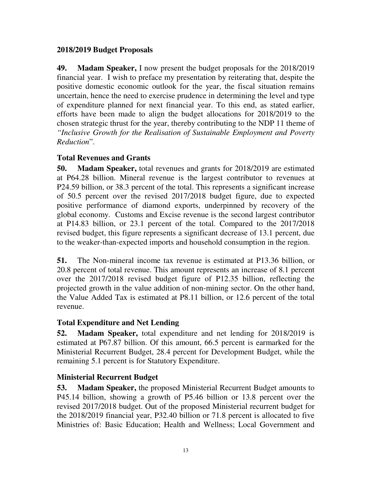#### **2018/2019 Budget Proposals**

**49. Madam Speaker,** I now present the budget proposals for the 2018/2019 financial year. I wish to preface my presentation by reiterating that, despite the positive domestic economic outlook for the year, the fiscal situation remains uncertain, hence the need to exercise prudence in determining the level and type of expenditure planned for next financial year. To this end, as stated earlier, efforts have been made to align the budget allocations for 2018/2019 to the chosen strategic thrust for the year, thereby contributing to the NDP 11 theme of *"Inclusive Growth for the Realisation of Sustainable Employment and Poverty Reduction*".

## **Total Revenues and Grants**

**50. Madam Speaker,** total revenues and grants for 2018/2019 are estimated at P64.28 billion. Mineral revenue is the largest contributor to revenues at P24.59 billion, or 38.3 percent of the total. This represents a significant increase of 50.5 percent over the revised 2017/2018 budget figure, due to expected positive performance of diamond exports, underpinned by recovery of the global economy. Customs and Excise revenue is the second largest contributor at P14.83 billion, or 23.1 percent of the total. Compared to the 2017/2018 revised budget, this figure represents a significant decrease of 13.1 percent, due to the weaker-than-expected imports and household consumption in the region.

**51.** The Non-mineral income tax revenue is estimated at P13.36 billion, or 20.8 percent of total revenue. This amount represents an increase of 8.1 percent over the 2017/2018 revised budget figure of P12.35 billion, reflecting the projected growth in the value addition of non-mining sector. On the other hand, the Value Added Tax is estimated at P8.11 billion, or 12.6 percent of the total revenue.

## **Total Expenditure and Net Lending**

**52. Madam Speaker,** total expenditure and net lending for 2018/2019 is estimated at P67.87 billion. Of this amount, 66.5 percent is earmarked for the Ministerial Recurrent Budget, 28.4 percent for Development Budget, while the remaining 5.1 percent is for Statutory Expenditure.

## **Ministerial Recurrent Budget**

**53. Madam Speaker,** the proposed Ministerial Recurrent Budget amounts to P45.14 billion, showing a growth of P5.46 billion or 13.8 percent over the revised 2017/2018 budget. Out of the proposed Ministerial recurrent budget for the 2018/2019 financial year, P32.40 billion or 71.8 percent is allocated to five Ministries of: Basic Education; Health and Wellness; Local Government and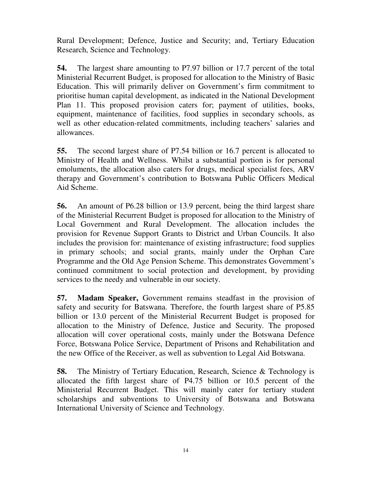Rural Development; Defence, Justice and Security; and, Tertiary Education Research, Science and Technology.

**54.** The largest share amounting to P7.97 billion or 17.7 percent of the total Ministerial Recurrent Budget, is proposed for allocation to the Ministry of Basic Education. This will primarily deliver on Government's firm commitment to prioritise human capital development, as indicated in the National Development Plan 11. This proposed provision caters for; payment of utilities, books, equipment, maintenance of facilities, food supplies in secondary schools, as well as other education-related commitments, including teachers' salaries and allowances.

**55.** The second largest share of P7.54 billion or 16.7 percent is allocated to Ministry of Health and Wellness. Whilst a substantial portion is for personal emoluments, the allocation also caters for drugs, medical specialist fees, ARV therapy and Government's contribution to Botswana Public Officers Medical Aid Scheme.

**56.** An amount of P6.28 billion or 13.9 percent, being the third largest share of the Ministerial Recurrent Budget is proposed for allocation to the Ministry of Local Government and Rural Development. The allocation includes the provision for Revenue Support Grants to District and Urban Councils. It also includes the provision for: maintenance of existing infrastructure; food supplies in primary schools; and social grants, mainly under the Orphan Care Programme and the Old Age Pension Scheme. This demonstrates Government's continued commitment to social protection and development, by providing services to the needy and vulnerable in our society.

**57. Madam Speaker,** Government remains steadfast in the provision of safety and security for Batswana. Therefore, the fourth largest share of P5.85 billion or 13.0 percent of the Ministerial Recurrent Budget is proposed for allocation to the Ministry of Defence, Justice and Security. The proposed allocation will cover operational costs, mainly under the Botswana Defence Force, Botswana Police Service, Department of Prisons and Rehabilitation and the new Office of the Receiver, as well as subvention to Legal Aid Botswana.

**58.** The Ministry of Tertiary Education, Research, Science & Technology is allocated the fifth largest share of P4.75 billion or 10.5 percent of the Ministerial Recurrent Budget. This will mainly cater for tertiary student scholarships and subventions to University of Botswana and Botswana International University of Science and Technology.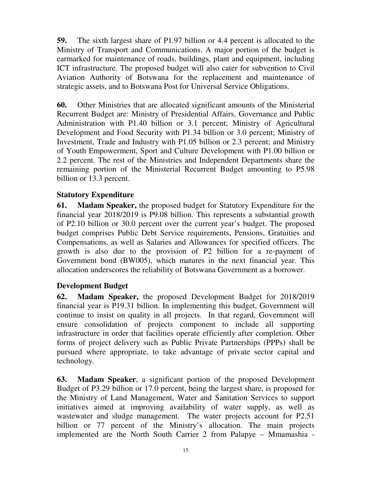**59.** The sixth largest share of P1.97 billion or 4.4 percent is allocated to the Ministry of Transport and Communications. A major portion of the budget is earmarked for maintenance of roads, buildings, plant and equipment, including ICT infrastructure. The proposed budget will also cater for subvention to Civil Aviation Authority of Botswana for the replacement and maintenance of strategic assets, and to Botswana Post for Universal Service Obligations.

**60.** Other Ministries that are allocated significant amounts of the Ministerial Recurrent Budget are: Ministry of Presidential Affairs, Governance and Public Administration with P1.40 billion or 3.1 percent; Ministry of Agricultural Development and Food Security with P1.34 billion or 3.0 percent; Ministry of Investment, Trade and Industry with P1.05 billion or 2.3 percent; and Ministry of Youth Empowerment, Sport and Culture Development with P1.00 billion or 2.2 percent. The rest of the Ministries and Independent Departments share the remaining portion of the Ministerial Recurrent Budget amounting to P5.98 billion or 13.3 percent.

#### **Statutory Expenditure**

**61. Madam Speaker,** the proposed budget for Statutory Expenditure for the financial year 2018/2019 is P9.08 billion. This represents a substantial growth of P2.10 billion or 30.0 percent over the current year's budget. The proposed budget comprises Public Debt Service requirements, Pensions, Gratuities and Compensations, as well as Salaries and Allowances for specified officers. The growth is also due to the provision of P2 billion for a re-payment of Government bond (BW005), which matures in the next financial year. This allocation underscores the reliability of Botswana Government as a borrower.

#### **Development Budget**

**62. Madam Speaker,** the proposed Development Budget for 2018/2019 financial year is P19.31 billion. In implementing this budget, Government will continue to insist on quality in all projects. In that regard, Government will ensure consolidation of projects component to include all supporting infrastructure in order that facilities operate efficiently after completion. Other forms of project delivery such as Public Private Partnerships (PPPs) shall be pursued where appropriate, to take advantage of private sector capital and technology.

**63. Madam Speaker**, a significant portion of the proposed Development Budget of P3.29 billion or 17.0 percent, being the largest share, is proposed for the Ministry of Land Management, Water and Sanitation Services to support initiatives aimed at improving availability of water supply, as well as wastewater and sludge management. The water projects account for P2.51 billion or 77 percent of the Ministry's allocation. The main projects implemented are the North South Carrier 2 from Palapye – Mmamashia -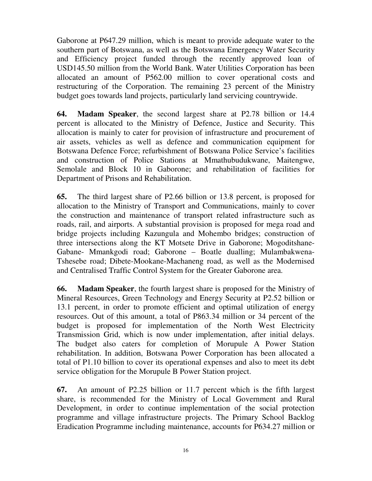Gaborone at P647.29 million, which is meant to provide adequate water to the southern part of Botswana, as well as the Botswana Emergency Water Security and Efficiency project funded through the recently approved loan of USD145.50 million from the World Bank. Water Utilities Corporation has been allocated an amount of P562.00 million to cover operational costs and restructuring of the Corporation. The remaining 23 percent of the Ministry budget goes towards land projects, particularly land servicing countrywide.

**64. Madam Speaker**, the second largest share at P2.78 billion or 14.4 percent is allocated to the Ministry of Defence, Justice and Security. This allocation is mainly to cater for provision of infrastructure and procurement of air assets, vehicles as well as defence and communication equipment for Botswana Defence Force; refurbishment of Botswana Police Service's facilities and construction of Police Stations at Mmathubudukwane, Maitengwe, Semolale and Block 10 in Gaborone; and rehabilitation of facilities for Department of Prisons and Rehabilitation.

**65.** The third largest share of P2.66 billion or 13.8 percent, is proposed for allocation to the Ministry of Transport and Communications, mainly to cover the construction and maintenance of transport related infrastructure such as roads, rail, and airports. A substantial provision is proposed for mega road and bridge projects including Kazungula and Mohembo bridges; construction of three intersections along the KT Motsete Drive in Gaborone; Mogoditshane-Gabane- Mmankgodi road; Gaborone – Boatle dualling; Mulambakwena-Tshesebe road; Dibete-Mookane-Machaneng road, as well as the Modernised and Centralised Traffic Control System for the Greater Gaborone area.

**66. Madam Speaker**, the fourth largest share is proposed for the Ministry of Mineral Resources, Green Technology and Energy Security at P2.52 billion or 13.1 percent, in order to promote efficient and optimal utilization of energy resources. Out of this amount, a total of P863.34 million or 34 percent of the budget is proposed for implementation of the North West Electricity Transmission Grid, which is now under implementation, after initial delays. The budget also caters for completion of Morupule A Power Station rehabilitation. In addition, Botswana Power Corporation has been allocated a total of P1.10 billion to cover its operational expenses and also to meet its debt service obligation for the Morupule B Power Station project.

**67.** An amount of P2.25 billion or 11.7 percent which is the fifth largest share, is recommended for the Ministry of Local Government and Rural Development, in order to continue implementation of the social protection programme and village infrastructure projects. The Primary School Backlog Eradication Programme including maintenance, accounts for P634.27 million or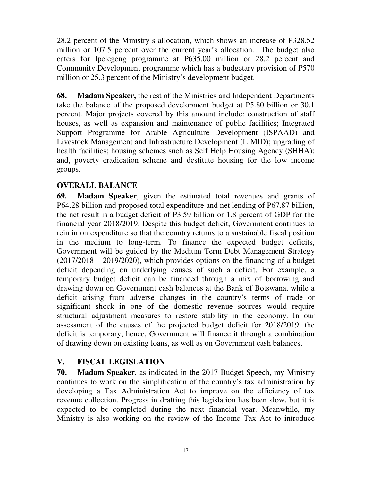28.2 percent of the Ministry's allocation, which shows an increase of P328.52 million or 107.5 percent over the current year's allocation. The budget also caters for Ipelegeng programme at P635.00 million or 28.2 percent and Community Development programme which has a budgetary provision of P570 million or 25.3 percent of the Ministry's development budget.

**68. Madam Speaker,** the rest of the Ministries and Independent Departments take the balance of the proposed development budget at P5.80 billion or 30.1 percent. Major projects covered by this amount include: construction of staff houses, as well as expansion and maintenance of public facilities; Integrated Support Programme for Arable Agriculture Development (ISPAAD) and Livestock Management and Infrastructure Development (LIMID); upgrading of health facilities; housing schemes such as Self Help Housing Agency (SHHA); and, poverty eradication scheme and destitute housing for the low income groups.

## **OVERALL BALANCE**

**69. Madam Speaker**, given the estimated total revenues and grants of P64.28 billion and proposed total expenditure and net lending of P67.87 billion, the net result is a budget deficit of P3.59 billion or 1.8 percent of GDP for the financial year 2018/2019. Despite this budget deficit, Government continues to rein in on expenditure so that the country returns to a sustainable fiscal position in the medium to long-term. To finance the expected budget deficits, Government will be guided by the Medium Term Debt Management Strategy  $(2017/2018 - 2019/2020)$ , which provides options on the financing of a budget deficit depending on underlying causes of such a deficit. For example, a temporary budget deficit can be financed through a mix of borrowing and drawing down on Government cash balances at the Bank of Botswana, while a deficit arising from adverse changes in the country's terms of trade or significant shock in one of the domestic revenue sources would require structural adjustment measures to restore stability in the economy. In our assessment of the causes of the projected budget deficit for 2018/2019, the deficit is temporary; hence, Government will finance it through a combination of drawing down on existing loans, as well as on Government cash balances.

# **V. FISCAL LEGISLATION**

**70. Madam Speaker**, as indicated in the 2017 Budget Speech, my Ministry continues to work on the simplification of the country's tax administration by developing a Tax Administration Act to improve on the efficiency of tax revenue collection. Progress in drafting this legislation has been slow, but it is expected to be completed during the next financial year. Meanwhile, my Ministry is also working on the review of the Income Tax Act to introduce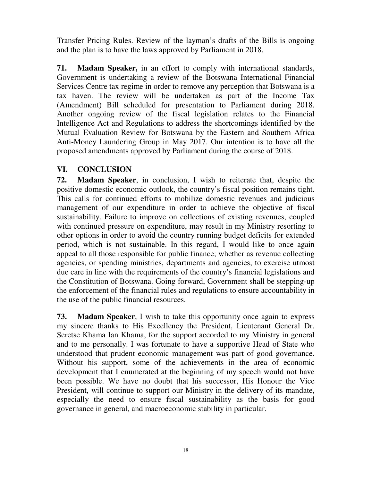Transfer Pricing Rules. Review of the layman's drafts of the Bills is ongoing and the plan is to have the laws approved by Parliament in 2018.

**71. Madam Speaker,** in an effort to comply with international standards, Government is undertaking a review of the Botswana International Financial Services Centre tax regime in order to remove any perception that Botswana is a tax haven. The review will be undertaken as part of the Income Tax (Amendment) Bill scheduled for presentation to Parliament during 2018. Another ongoing review of the fiscal legislation relates to the Financial Intelligence Act and Regulations to address the shortcomings identified by the Mutual Evaluation Review for Botswana by the Eastern and Southern Africa Anti-Money Laundering Group in May 2017. Our intention is to have all the proposed amendments approved by Parliament during the course of 2018.

## **VI. CONCLUSION**

**72. Madam Speaker**, in conclusion, I wish to reiterate that, despite the positive domestic economic outlook, the country's fiscal position remains tight. This calls for continued efforts to mobilize domestic revenues and judicious management of our expenditure in order to achieve the objective of fiscal sustainability. Failure to improve on collections of existing revenues, coupled with continued pressure on expenditure, may result in my Ministry resorting to other options in order to avoid the country running budget deficits for extended period, which is not sustainable. In this regard, I would like to once again appeal to all those responsible for public finance; whether as revenue collecting agencies, or spending ministries, departments and agencies, to exercise utmost due care in line with the requirements of the country's financial legislations and the Constitution of Botswana. Going forward, Government shall be stepping-up the enforcement of the financial rules and regulations to ensure accountability in the use of the public financial resources.

**73. Madam Speaker**, I wish to take this opportunity once again to express my sincere thanks to His Excellency the President, Lieutenant General Dr. Seretse Khama Ian Khama, for the support accorded to my Ministry in general and to me personally. I was fortunate to have a supportive Head of State who understood that prudent economic management was part of good governance. Without his support, some of the achievements in the area of economic development that I enumerated at the beginning of my speech would not have been possible. We have no doubt that his successor, His Honour the Vice President, will continue to support our Ministry in the delivery of its mandate, especially the need to ensure fiscal sustainability as the basis for good governance in general, and macroeconomic stability in particular.